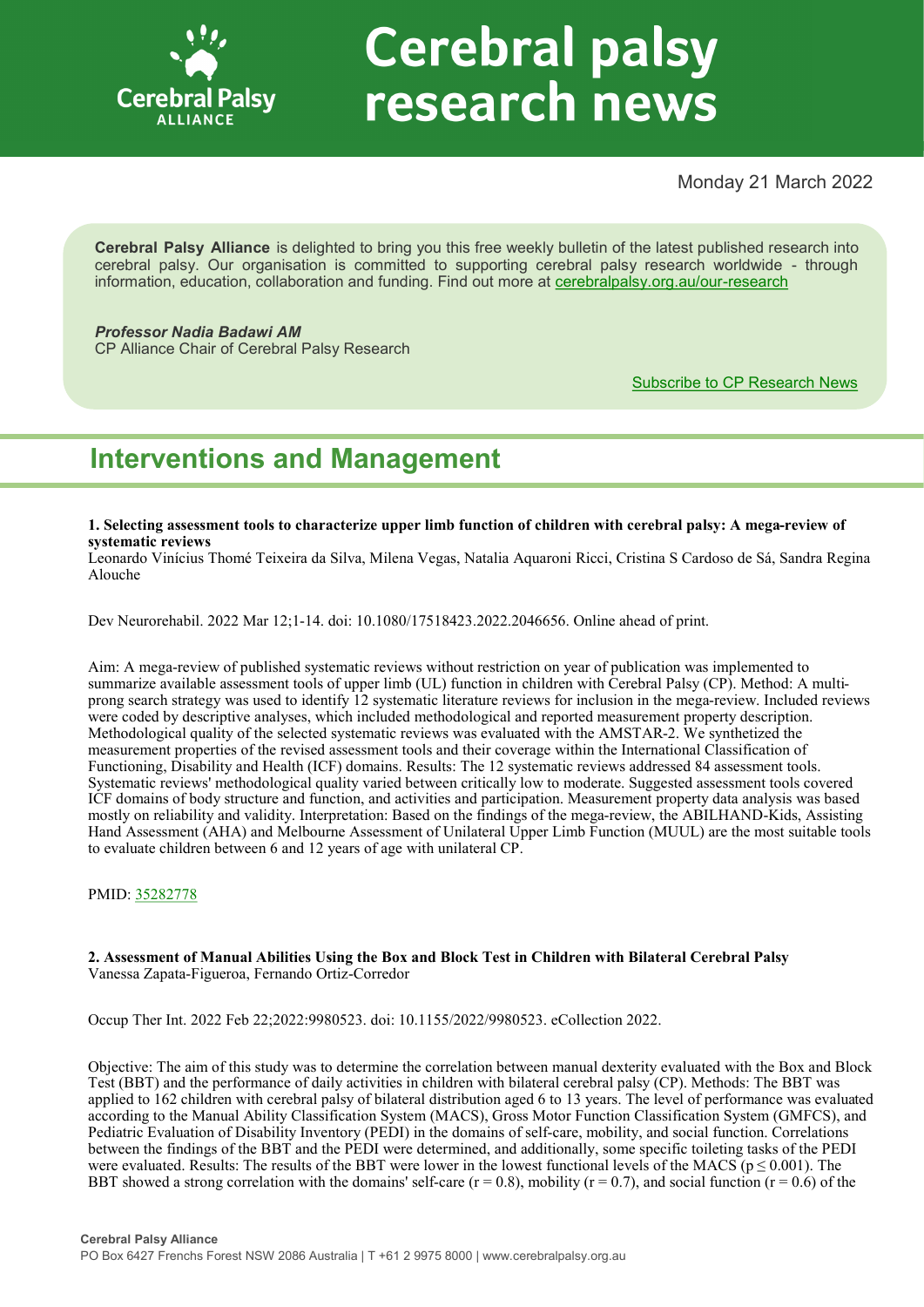

# **Cerebral palsy** research news

# Monday 21 March 2022

**Cerebral Palsy Alliance** is delighted to bring you this free weekly bulletin of the latest published research into cerebral palsy. Our organisation is committed to supporting cerebral palsy research worldwide - through information, education, collaboration and funding. Find out more at [cerebralpalsy.org.au/our](https://cerebralpalsy.org.au/our-research/)-research

# *Professor Nadia Badawi AM*

CP Alliance Chair of Cerebral Palsy Research

[Subscribe to CP Research News](https://cerebralpalsy.org.au/our-research/get-involved-research/cp-research-newsletters/)

# **Interventions and Management**

**1. Selecting assessment tools to characterize upper limb function of children with cerebral palsy: A mega-review of systematic reviews**

Leonardo Vinícius Thomé Teixeira da Silva, Milena Vegas, Natalia Aquaroni Ricci, Cristina S Cardoso de Sá, Sandra Regina Alouche

Dev Neurorehabil. 2022 Mar 12;1-14. doi: 10.1080/17518423.2022.2046656. Online ahead of print.

Aim: A mega-review of published systematic reviews without restriction on year of publication was implemented to summarize available assessment tools of upper limb (UL) function in children with Cerebral Palsy (CP). Method: A multiprong search strategy was used to identify 12 systematic literature reviews for inclusion in the mega-review. Included reviews were coded by descriptive analyses, which included methodological and reported measurement property description. Methodological quality of the selected systematic reviews was evaluated with the AMSTAR-2. We synthetized the measurement properties of the revised assessment tools and their coverage within the International Classification of Functioning, Disability and Health (ICF) domains. Results: The 12 systematic reviews addressed 84 assessment tools. Systematic reviews' methodological quality varied between critically low to moderate. Suggested assessment tools covered ICF domains of body structure and function, and activities and participation. Measurement property data analysis was based mostly on reliability and validity. Interpretation: Based on the findings of the mega-review, the ABILHAND-Kids, Assisting Hand Assessment (AHA) and Melbourne Assessment of Unilateral Upper Limb Function (MUUL) are the most suitable tools to evaluate children between 6 and 12 years of age with unilateral CP.

PMID: [35282778](https://pubmed.ncbi.nlm.nih.gov/35282778)

#### **2. Assessment of Manual Abilities Using the Box and Block Test in Children with Bilateral Cerebral Palsy** Vanessa Zapata-Figueroa, Fernando Ortiz-Corredor

Occup Ther Int. 2022 Feb 22;2022:9980523. doi: 10.1155/2022/9980523. eCollection 2022.

Objective: The aim of this study was to determine the correlation between manual dexterity evaluated with the Box and Block Test (BBT) and the performance of daily activities in children with bilateral cerebral palsy (CP). Methods: The BBT was applied to 162 children with cerebral palsy of bilateral distribution aged 6 to 13 years. The level of performance was evaluated according to the Manual Ability Classification System (MACS), Gross Motor Function Classification System (GMFCS), and Pediatric Evaluation of Disability Inventory (PEDI) in the domains of self-care, mobility, and social function. Correlations between the findings of the BBT and the PEDI were determined, and additionally, some specific toileting tasks of the PEDI were evaluated. Results: The results of the BBT were lower in the lowest functional levels of the MACS ( $p \le 0.001$ ). The BBT showed a strong correlation with the domains' self-care ( $r = 0.8$ ), mobility ( $r = 0.7$ ), and social function ( $r = 0.6$ ) of the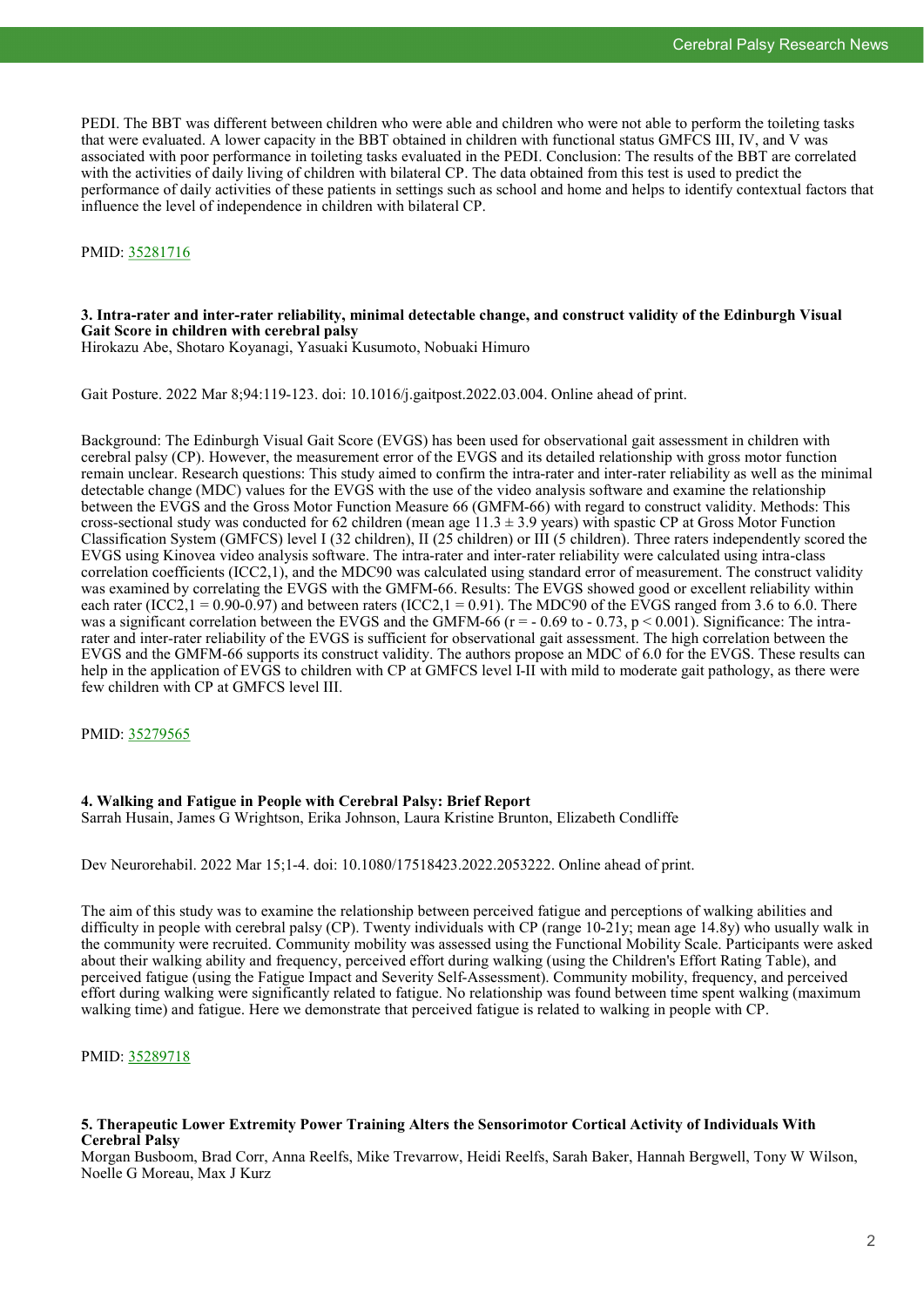PEDI. The BBT was different between children who were able and children who were not able to perform the toileting tasks that were evaluated. A lower capacity in the BBT obtained in children with functional status GMFCS III, IV, and V was associated with poor performance in toileting tasks evaluated in the PEDI. Conclusion: The results of the BBT are correlated with the activities of daily living of children with bilateral CP. The data obtained from this test is used to predict the performance of daily activities of these patients in settings such as school and home and helps to identify contextual factors that influence the level of independence in children with bilateral CP.

#### PMID: [35281716](https://pubmed.ncbi.nlm.nih.gov/35281716)

#### **3. Intra-rater and inter-rater reliability, minimal detectable change, and construct validity of the Edinburgh Visual Gait Score in children with cerebral palsy**

Hirokazu Abe, Shotaro Koyanagi, Yasuaki Kusumoto, Nobuaki Himuro

Gait Posture. 2022 Mar 8;94:119-123. doi: 10.1016/j.gaitpost.2022.03.004. Online ahead of print.

Background: The Edinburgh Visual Gait Score (EVGS) has been used for observational gait assessment in children with cerebral palsy (CP). However, the measurement error of the EVGS and its detailed relationship with gross motor function remain unclear. Research questions: This study aimed to confirm the intra-rater and inter-rater reliability as well as the minimal detectable change (MDC) values for the EVGS with the use of the video analysis software and examine the relationship between the EVGS and the Gross Motor Function Measure 66 (GMFM-66) with regard to construct validity. Methods: This cross-sectional study was conducted for 62 children (mean age  $11.3 \pm 3.9$  years) with spastic CP at Gross Motor Function Classification System (GMFCS) level I (32 children), II (25 children) or III (5 children). Three raters independently scored the EVGS using Kinovea video analysis software. The intra-rater and inter-rater reliability were calculated using intra-class correlation coefficients (ICC2,1), and the MDC90 was calculated using standard error of measurement. The construct validity was examined by correlating the EVGS with the GMFM-66. Results: The EVGS showed good or excellent reliability within each rater (ICC2,  $1 = 0.90-0.97$ ) and between raters (ICC2,  $1 = 0.91$ ). The MDC90 of the EVGS ranged from 3.6 to 6.0. There was a significant correlation between the EVGS and the GMFM-66 ( $r = -0.69$  to  $-0.73$ ,  $p \le 0.001$ ). Significance: The intrarater and inter-rater reliability of the EVGS is sufficient for observational gait assessment. The high correlation between the EVGS and the GMFM-66 supports its construct validity. The authors propose an MDC of 6.0 for the EVGS. These results can help in the application of EVGS to children with CP at GMFCS level I-II with mild to moderate gait pathology, as there were few children with CP at GMFCS level III.

PMID: [35279565](https://pubmed.ncbi.nlm.nih.gov/35279565)

#### **4. Walking and Fatigue in People with Cerebral Palsy: Brief Report**

Sarrah Husain, James G Wrightson, Erika Johnson, Laura Kristine Brunton, Elizabeth Condliffe

Dev Neurorehabil. 2022 Mar 15;1-4. doi: 10.1080/17518423.2022.2053222. Online ahead of print.

The aim of this study was to examine the relationship between perceived fatigue and perceptions of walking abilities and difficulty in people with cerebral palsy (CP). Twenty individuals with CP (range 10-21y; mean age 14.8y) who usually walk in the community were recruited. Community mobility was assessed using the Functional Mobility Scale. Participants were asked about their walking ability and frequency, perceived effort during walking (using the Children's Effort Rating Table), and perceived fatigue (using the Fatigue Impact and Severity Self-Assessment). Community mobility, frequency, and perceived effort during walking were significantly related to fatigue. No relationship was found between time spent walking (maximum walking time) and fatigue. Here we demonstrate that perceived fatigue is related to walking in people with CP.

PMID: [35289718](https://pubmed.ncbi.nlm.nih.gov/35289718)

#### **5. Therapeutic Lower Extremity Power Training Alters the Sensorimotor Cortical Activity of Individuals With Cerebral Palsy**

Morgan Busboom, Brad Corr, Anna Reelfs, Mike Trevarrow, Heidi Reelfs, Sarah Baker, Hannah Bergwell, Tony W Wilson, Noelle G Moreau, Max J Kurz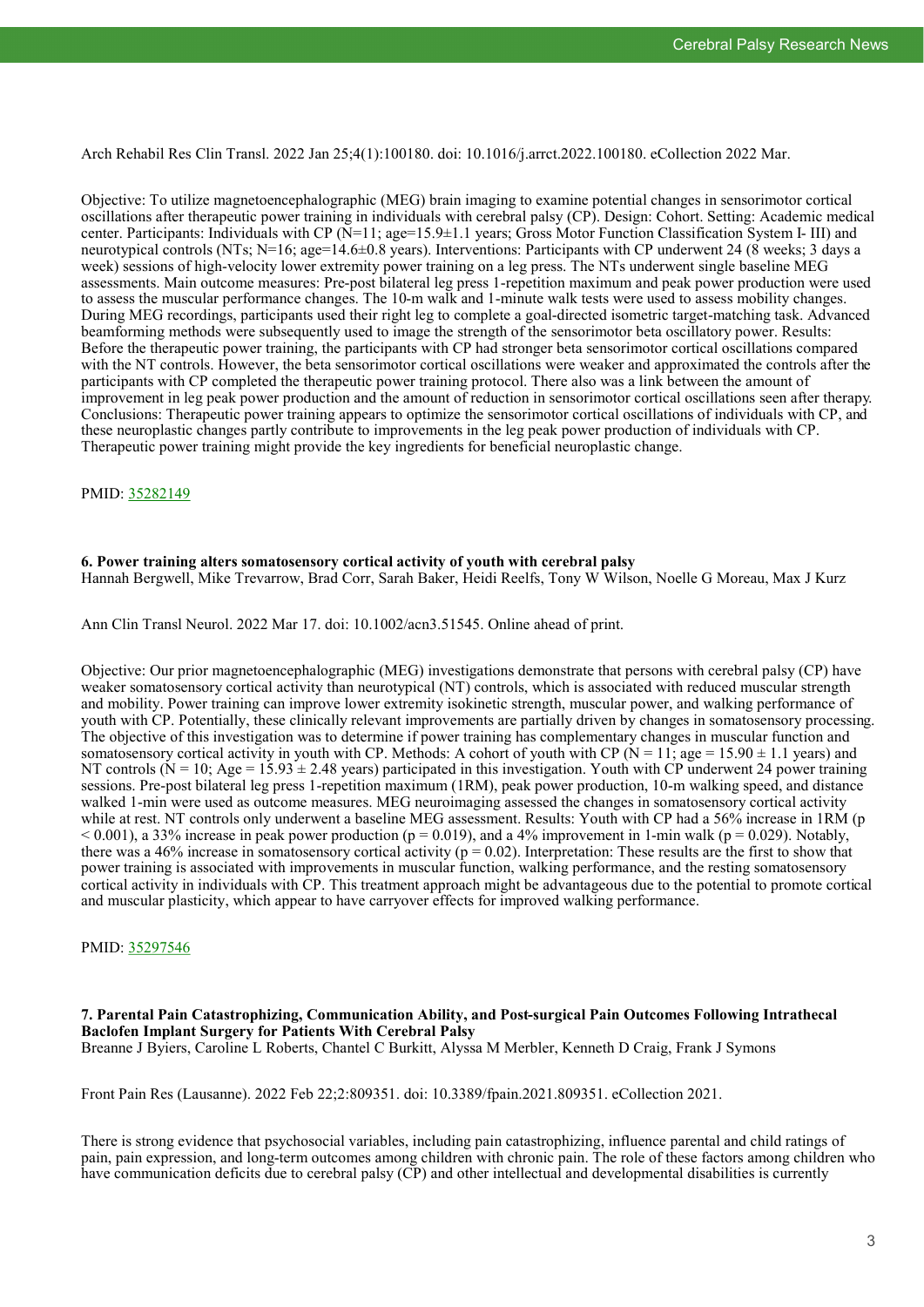Arch Rehabil Res Clin Transl. 2022 Jan 25;4(1):100180. doi: 10.1016/j.arrct.2022.100180. eCollection 2022 Mar.

Objective: To utilize magnetoencephalographic (MEG) brain imaging to examine potential changes in sensorimotor cortical oscillations after therapeutic power training in individuals with cerebral palsy (CP). Design: Cohort. Setting: Academic medical center. Participants: Individuals with CP (N=11; age=15.9±1.1 years; Gross Motor Function Classification System I- III) and neurotypical controls (NTs; N=16; age=14.6±0.8 years). Interventions: Participants with CP underwent 24 (8 weeks; 3 days a week) sessions of high-velocity lower extremity power training on a leg press. The NTs underwent single baseline MEG assessments. Main outcome measures: Pre-post bilateral leg press 1-repetition maximum and peak power production were used to assess the muscular performance changes. The 10-m walk and 1-minute walk tests were used to assess mobility changes. During MEG recordings, participants used their right leg to complete a goal-directed isometric target-matching task. Advanced beamforming methods were subsequently used to image the strength of the sensorimotor beta oscillatory power. Results: Before the therapeutic power training, the participants with CP had stronger beta sensorimotor cortical oscillations compared with the NT controls. However, the beta sensorimotor cortical oscillations were weaker and approximated the controls after the participants with CP completed the therapeutic power training protocol. There also was a link between the amount of improvement in leg peak power production and the amount of reduction in sensorimotor cortical oscillations seen after therapy. Conclusions: Therapeutic power training appears to optimize the sensorimotor cortical oscillations of individuals with CP, and these neuroplastic changes partly contribute to improvements in the leg peak power production of individuals with CP. Therapeutic power training might provide the key ingredients for beneficial neuroplastic change.

PMID: [35282149](https://pubmed.ncbi.nlm.nih.gov/35282149)

#### **6. Power training alters somatosensory cortical activity of youth with cerebral palsy**

Hannah Bergwell, Mike Trevarrow, Brad Corr, Sarah Baker, Heidi Reelfs, Tony W Wilson, Noelle G Moreau, Max J Kurz

Ann Clin Transl Neurol. 2022 Mar 17. doi: 10.1002/acn3.51545. Online ahead of print.

Objective: Our prior magnetoencephalographic (MEG) investigations demonstrate that persons with cerebral palsy (CP) have weaker somatosensory cortical activity than neurotypical (NT) controls, which is associated with reduced muscular strength and mobility. Power training can improve lower extremity isokinetic strength, muscular power, and walking performance of youth with CP. Potentially, these clinically relevant improvements are partially driven by changes in somatosensory processing. The objective of this investigation was to determine if power training has complementary changes in muscular function and somatosensory cortical activity in youth with CP. Methods: A cohort of youth with CP ( $N = 11$ ; age = 15.90  $\pm$  1.1 years) and NT controls ( $N = 10$ ; Age = 15.93  $\pm$  2.48 years) participated in this investigation. Youth with CP underwent 24 power training sessions. Pre-post bilateral leg press 1-repetition maximum (1RM), peak power production, 10-m walking speed, and distance walked 1-min were used as outcome measures. MEG neuroimaging assessed the changes in somatosensory cortical activity while at rest. NT controls only underwent a baseline MEG assessment. Results: Youth with CP had a 56% increase in 1RM (p  $< 0.001$ ), a 33% increase in peak power production (p = 0.019), and a 4% improvement in 1-min walk (p = 0.029). Notably, there was a 46% increase in somatosensory cortical activity ( $p = 0.02$ ). Interpretation: These results are the first to show that power training is associated with improvements in muscular function, walking performance, and the resting somatosensory cortical activity in individuals with CP. This treatment approach might be advantageous due to the potential to promote cortical and muscular plasticity, which appear to have carryover effects for improved walking performance.

PMID: [35297546](https://pubmed.ncbi.nlm.nih.gov/35297546)

## **7. Parental Pain Catastrophizing, Communication Ability, and Post-surgical Pain Outcomes Following Intrathecal Baclofen Implant Surgery for Patients With Cerebral Palsy**

Breanne J Byiers, Caroline L Roberts, Chantel C Burkitt, Alyssa M Merbler, Kenneth D Craig, Frank J Symons

Front Pain Res (Lausanne). 2022 Feb 22;2:809351. doi: 10.3389/fpain.2021.809351. eCollection 2021.

There is strong evidence that psychosocial variables, including pain catastrophizing, influence parental and child ratings of pain, pain expression, and long-term outcomes among children with chronic pain. The role of these factors among children who have communication deficits due to cerebral palsy (CP) and other intellectual and developmental disabilities is currently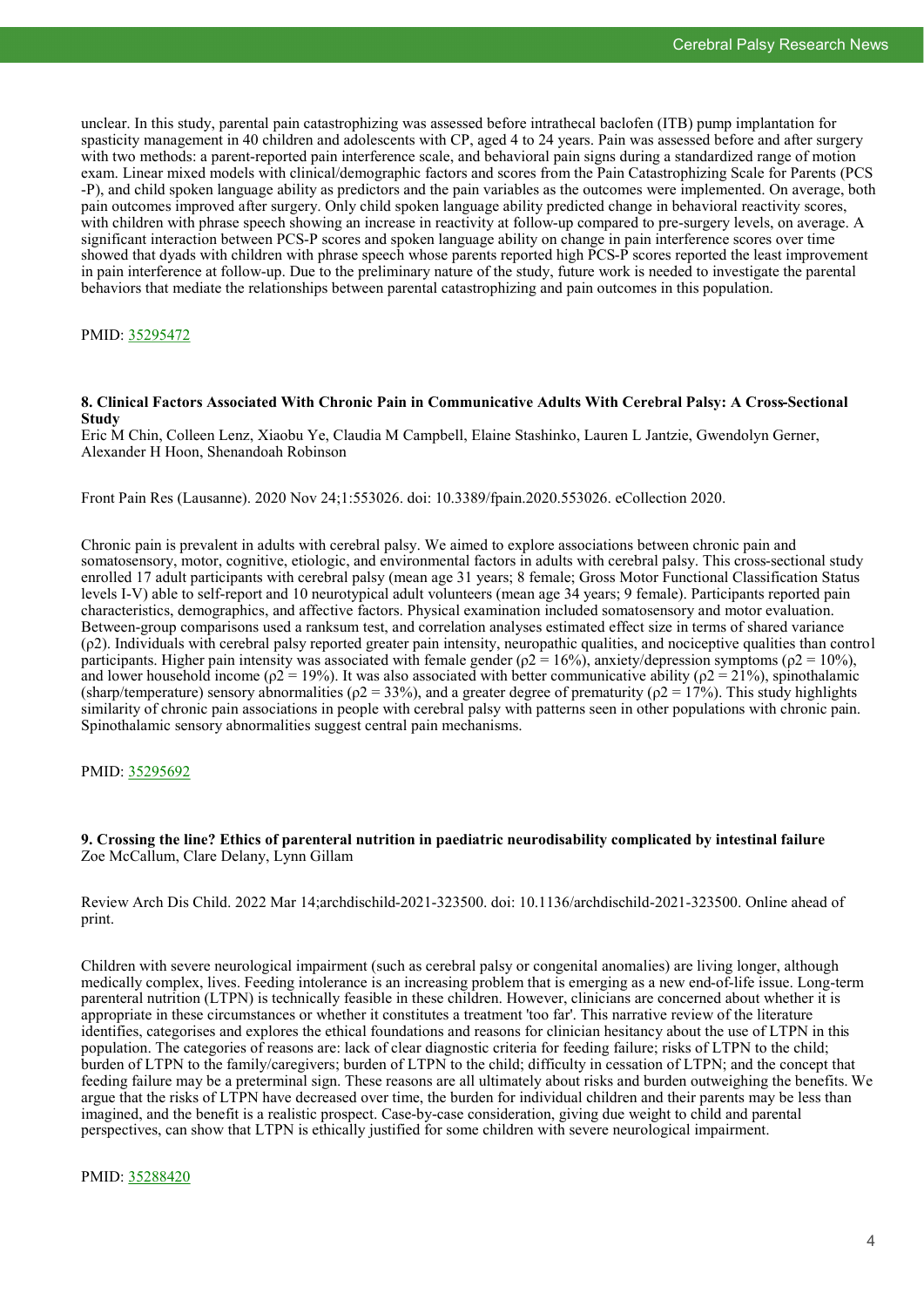unclear. In this study, parental pain catastrophizing was assessed before intrathecal baclofen (ITB) pump implantation for spasticity management in 40 children and adolescents with CP, aged 4 to 24 years. Pain was assessed before and after surgery with two methods: a parent-reported pain interference scale, and behavioral pain signs during a standardized range of motion exam. Linear mixed models with clinical/demographic factors and scores from the Pain Catastrophizing Scale for Parents (PCS -P), and child spoken language ability as predictors and the pain variables as the outcomes were implemented. On average, both pain outcomes improved after surgery. Only child spoken language ability predicted change in behavioral reactivity scores, with children with phrase speech showing an increase in reactivity at follow-up compared to pre-surgery levels, on average. A significant interaction between PCS-P scores and spoken language ability on change in pain interference scores over time showed that dyads with children with phrase speech whose parents reported high PCS-P scores reported the least improvement in pain interference at follow-up. Due to the preliminary nature of the study, future work is needed to investigate the parental behaviors that mediate the relationships between parental catastrophizing and pain outcomes in this population.

#### PMID: [35295472](https://pubmed.ncbi.nlm.nih.gov/35295472)

#### **8. Clinical Factors Associated With Chronic Pain in Communicative Adults With Cerebral Palsy: A Cross-Sectional Study**

Eric M Chin, Colleen Lenz, Xiaobu Ye, Claudia M Campbell, Elaine Stashinko, Lauren L Jantzie, Gwendolyn Gerner, Alexander H Hoon, Shenandoah Robinson

Front Pain Res (Lausanne). 2020 Nov 24;1:553026. doi: 10.3389/fpain.2020.553026. eCollection 2020.

Chronic pain is prevalent in adults with cerebral palsy. We aimed to explore associations between chronic pain and somatosensory, motor, cognitive, etiologic, and environmental factors in adults with cerebral palsy. This cross-sectional study enrolled 17 adult participants with cerebral palsy (mean age 31 years; 8 female; Gross Motor Functional Classification Status levels I-V) able to self-report and 10 neurotypical adult volunteers (mean age 34 years; 9 female). Participants reported pain characteristics, demographics, and affective factors. Physical examination included somatosensory and motor evaluation. Between-group comparisons used a ranksum test, and correlation analyses estimated effect size in terms of shared variance (ρ2). Individuals with cerebral palsy reported greater pain intensity, neuropathic qualities, and nociceptive qualities than control participants. Higher pain intensity was associated with female gender ( $\rho$ 2 = 16%), anxiety/depression symptoms ( $\rho$ 2 = 10%), and lower household income ( $\rho$ 2 = 19%). It was also associated with better communicative ability ( $\rho$ 2 = 21%), spinothalamic (sharp/temperature) sensory abnormalities ( $\rho$ 2 = 33%), and a greater degree of prematurity ( $\rho$ 2 = 17%). This study highlights similarity of chronic pain associations in people with cerebral palsy with patterns seen in other populations with chronic pain. Spinothalamic sensory abnormalities suggest central pain mechanisms.

#### PMID: [35295692](https://pubmed.ncbi.nlm.nih.gov/35295692)

#### **9. Crossing the line? Ethics of parenteral nutrition in paediatric neurodisability complicated by intestinal failure** Zoe McCallum, Clare Delany, Lynn Gillam

Review Arch Dis Child. 2022 Mar 14;archdischild-2021-323500. doi: 10.1136/archdischild-2021-323500. Online ahead of print.

Children with severe neurological impairment (such as cerebral palsy or congenital anomalies) are living longer, although medically complex, lives. Feeding intolerance is an increasing problem that is emerging as a new end-of-life issue. Long-term parenteral nutrition (LTPN) is technically feasible in these children. However, clinicians are concerned about whether it is appropriate in these circumstances or whether it constitutes a treatment 'too far'. This narrative review of the literature identifies, categorises and explores the ethical foundations and reasons for clinician hesitancy about the use of LTPN in this population. The categories of reasons are: lack of clear diagnostic criteria for feeding failure; risks of LTPN to the child; burden of LTPN to the family/caregivers; burden of LTPN to the child; difficulty in cessation of LTPN; and the concept that feeding failure may be a preterminal sign. These reasons are all ultimately about risks and burden outweighing the benefits. We argue that the risks of LTPN have decreased over time, the burden for individual children and their parents may be less than imagined, and the benefit is a realistic prospect. Case-by-case consideration, giving due weight to child and parental perspectives, can show that LTPN is ethically justified for some children with severe neurological impairment.

#### PMID: [35288420](https://pubmed.ncbi.nlm.nih.gov/35288420)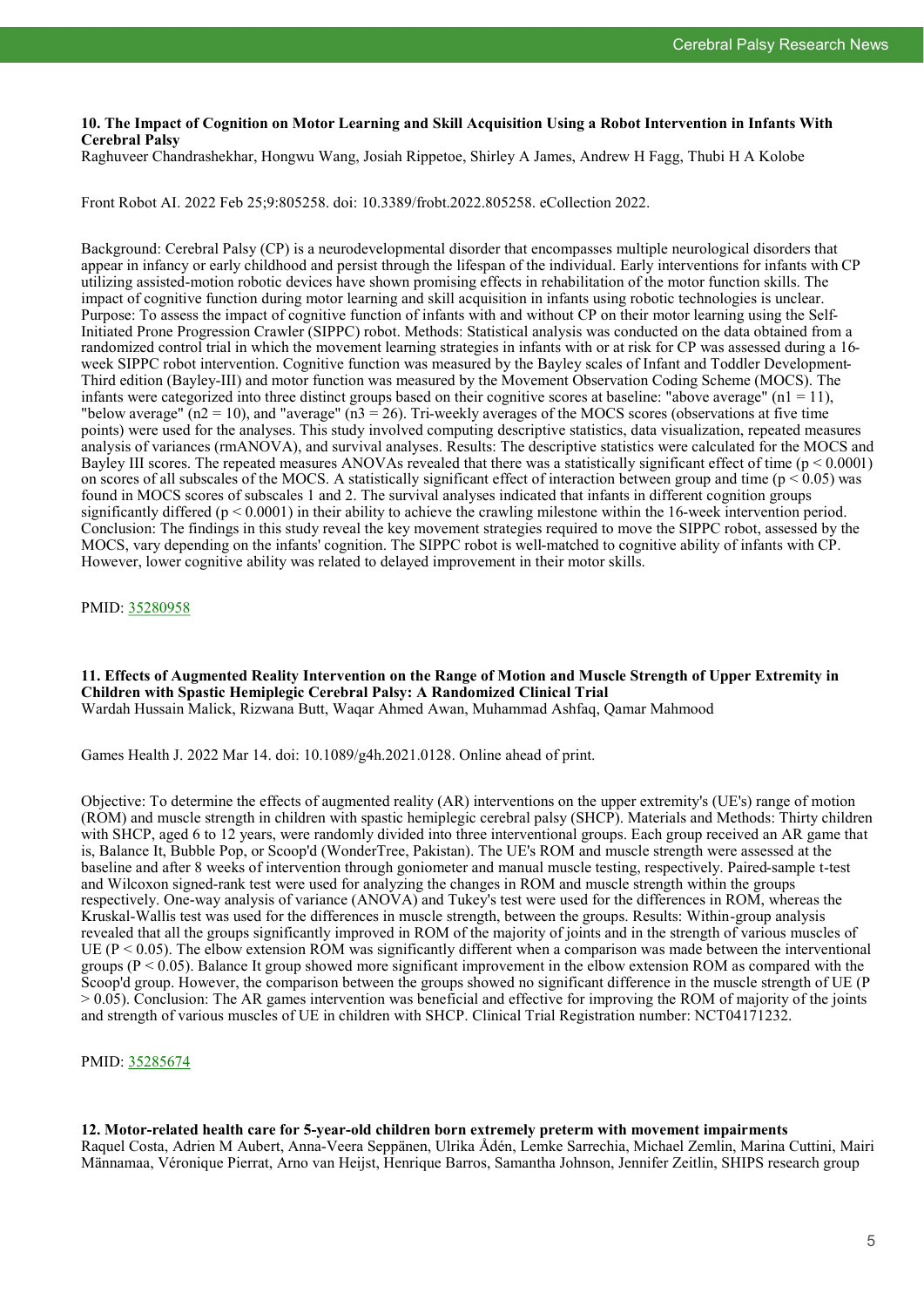#### **10. The Impact of Cognition on Motor Learning and Skill Acquisition Using a Robot Intervention in Infants With Cerebral Palsy**

Raghuveer Chandrashekhar, Hongwu Wang, Josiah Rippetoe, Shirley A James, Andrew H Fagg, Thubi H A Kolobe

Front Robot AI. 2022 Feb 25;9:805258. doi: 10.3389/frobt.2022.805258. eCollection 2022.

Background: Cerebral Palsy (CP) is a neurodevelopmental disorder that encompasses multiple neurological disorders that appear in infancy or early childhood and persist through the lifespan of the individual. Early interventions for infants with CP utilizing assisted-motion robotic devices have shown promising effects in rehabilitation of the motor function skills. The impact of cognitive function during motor learning and skill acquisition in infants using robotic technologies is unclear. Purpose: To assess the impact of cognitive function of infants with and without CP on their motor learning using the Self-Initiated Prone Progression Crawler (SIPPC) robot. Methods: Statistical analysis was conducted on the data obtained from a randomized control trial in which the movement learning strategies in infants with or at risk for CP was assessed during a 16 week SIPPC robot intervention. Cognitive function was measured by the Bayley scales of Infant and Toddler Development-Third edition (Bayley-III) and motor function was measured by the Movement Observation Coding Scheme (MOCS). The infants were categorized into three distinct groups based on their cognitive scores at baseline: "above average"  $(nl = 11)$ , "below average" ( $n^2 = 10$ ), and "average" ( $n^3 = 26$ ). Tri-weekly averages of the MOCS scores (observations at five time points) were used for the analyses. This study involved computing descriptive statistics, data visualization, repeated measures analysis of variances (rmANOVA), and survival analyses. Results: The descriptive statistics were calculated for the MOCS and Bayley III scores. The repeated measures ANOVAs revealed that there was a statistically significant effect of time ( $p < 0.0001$ ) on scores of all subscales of the MOCS. A statistically significant effect of interaction between group and time ( $p < 0.05$ ) was found in MOCS scores of subscales 1 and 2. The survival analyses indicated that infants in different cognition groups significantly differed ( $p < 0.0001$ ) in their ability to achieve the crawling milestone within the 16-week intervention period. Conclusion: The findings in this study reveal the key movement strategies required to move the SIPPC robot, assessed by the MOCS, vary depending on the infants' cognition. The SIPPC robot is well-matched to cognitive ability of infants with CP. However, lower cognitive ability was related to delayed improvement in their motor skills.

PMID: [35280958](https://pubmed.ncbi.nlm.nih.gov/35280958)

**11. Effects of Augmented Reality Intervention on the Range of Motion and Muscle Strength of Upper Extremity in Children with Spastic Hemiplegic Cerebral Palsy: A Randomized Clinical Trial** Wardah Hussain Malick, Rizwana Butt, Waqar Ahmed Awan, Muhammad Ashfaq, Qamar Mahmood

Games Health J. 2022 Mar 14. doi: 10.1089/g4h.2021.0128. Online ahead of print.

Objective: To determine the effects of augmented reality (AR) interventions on the upper extremity's (UE's) range of motion (ROM) and muscle strength in children with spastic hemiplegic cerebral palsy (SHCP). Materials and Methods: Thirty children with SHCP, aged 6 to 12 years, were randomly divided into three interventional groups. Each group received an AR game that is, Balance It, Bubble Pop, or Scoop'd (WonderTree, Pakistan). The UE's ROM and muscle strength were assessed at the baseline and after 8 weeks of intervention through goniometer and manual muscle testing, respectively. Paired-sample t-test and Wilcoxon signed-rank test were used for analyzing the changes in ROM and muscle strength within the groups respectively. One-way analysis of variance (ANOVA) and Tukey's test were used for the differences in ROM, whereas the Kruskal-Wallis test was used for the differences in muscle strength, between the groups. Results: Within-group analysis revealed that all the groups significantly improved in ROM of the majority of joints and in the strength of various muscles of UE ( $P < 0.05$ ). The elbow extension ROM was significantly different when a comparison was made between the interventional groups ( $P < 0.05$ ). Balance It group showed more significant improvement in the elbow extension ROM as compared with the Scoop'd group. However, the comparison between the groups showed no significant difference in the muscle strength of UE (P > 0.05). Conclusion: The AR games intervention was beneficial and effective for improving the ROM of majority of the joints and strength of various muscles of UE in children with SHCP. Clinical Trial Registration number: NCT04171232.

PMID: [35285674](https://pubmed.ncbi.nlm.nih.gov/35285674)

**12. Motor-related health care for 5-year-old children born extremely preterm with movement impairments** Raquel Costa, Adrien M Aubert, Anna-Veera Seppänen, Ulrika Ådén, Lemke Sarrechia, Michael Zemlin, Marina Cuttini, Mairi Männamaa, Véronique Pierrat, Arno van Heijst, Henrique Barros, Samantha Johnson, Jennifer Zeitlin, SHIPS research group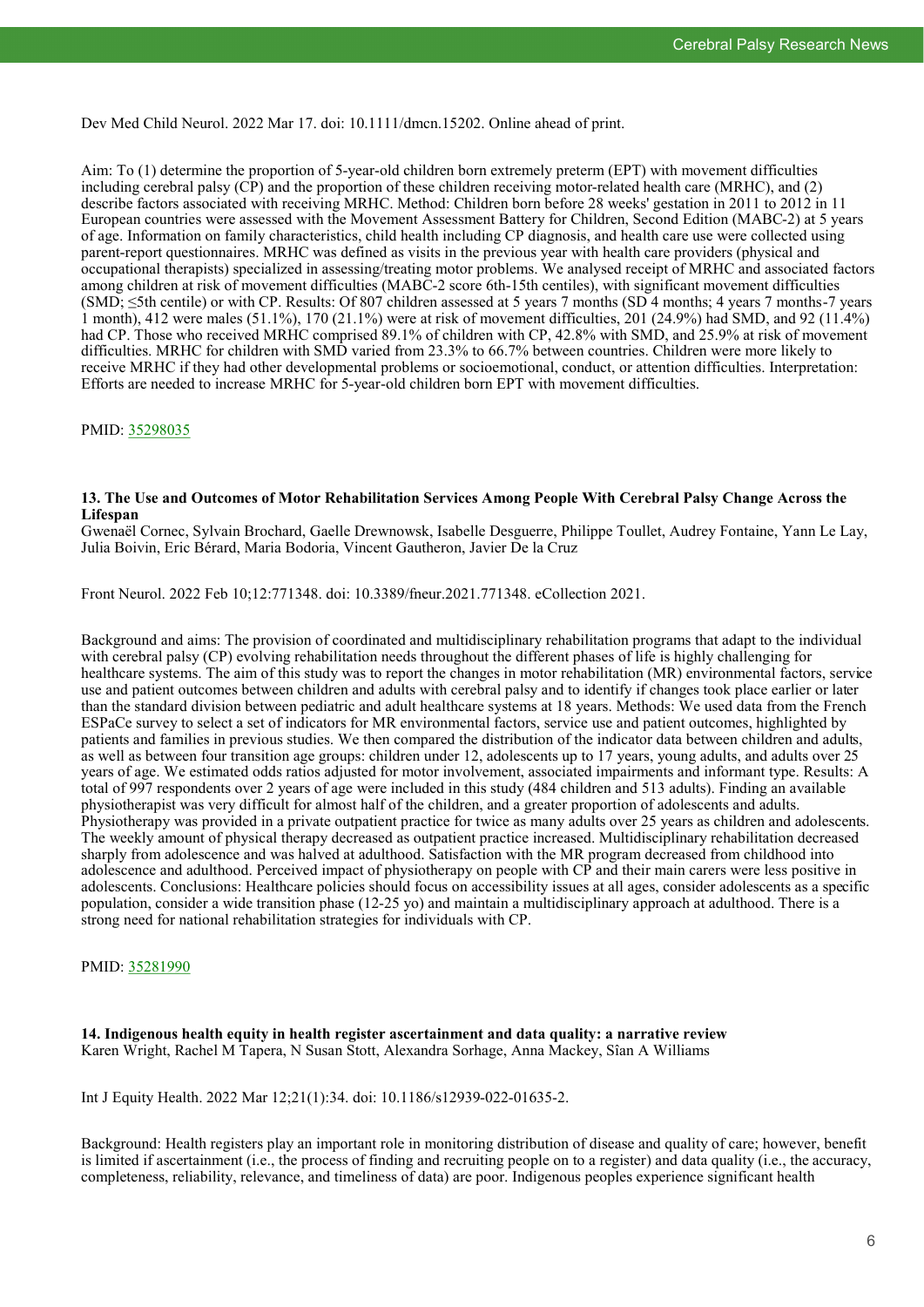Dev Med Child Neurol. 2022 Mar 17. doi: 10.1111/dmcn.15202. Online ahead of print.

Aim: To (1) determine the proportion of 5-year-old children born extremely preterm (EPT) with movement difficulties including cerebral palsy (CP) and the proportion of these children receiving motor-related health care (MRHC), and (2) describe factors associated with receiving MRHC. Method: Children born before 28 weeks' gestation in 2011 to 2012 in 11 European countries were assessed with the Movement Assessment Battery for Children, Second Edition (MABC-2) at 5 years of age. Information on family characteristics, child health including CP diagnosis, and health care use were collected using parent-report questionnaires. MRHC was defined as visits in the previous year with health care providers (physical and occupational therapists) specialized in assessing/treating motor problems. We analysed receipt of MRHC and associated factors among children at risk of movement difficulties (MABC-2 score 6th-15th centiles), with significant movement difficulties (SMD; ≤5th centile) or with CP. Results: Of 807 children assessed at 5 years 7 months (SD 4 months; 4 years 7 months-7 years 1 month), 412 were males (51.1%), 170 (21.1%) were at risk of movement difficulties, 201 (24.9%) had SMD, and 92 (11.4%) had CP. Those who received MRHC comprised 89.1% of children with CP, 42.8% with SMD, and 25.9% at risk of movement difficulties. MRHC for children with SMD varied from 23.3% to 66.7% between countries. Children were more likely to receive MRHC if they had other developmental problems or socioemotional, conduct, or attention difficulties. Interpretation: Efforts are needed to increase MRHC for 5-year-old children born EPT with movement difficulties.

PMID: [35298035](https://pubmed.ncbi.nlm.nih.gov/35298035)

#### **13. The Use and Outcomes of Motor Rehabilitation Services Among People With Cerebral Palsy Change Across the Lifespan**

Gwenaël Cornec, Sylvain Brochard, Gaelle Drewnowsk, Isabelle Desguerre, Philippe Toullet, Audrey Fontaine, Yann Le Lay, Julia Boivin, Eric Bérard, Maria Bodoria, Vincent Gautheron, Javier De la Cruz

Front Neurol. 2022 Feb 10;12:771348. doi: 10.3389/fneur.2021.771348. eCollection 2021.

Background and aims: The provision of coordinated and multidisciplinary rehabilitation programs that adapt to the individual with cerebral palsy (CP) evolving rehabilitation needs throughout the different phases of life is highly challenging for healthcare systems. The aim of this study was to report the changes in motor rehabilitation (MR) environmental factors, service use and patient outcomes between children and adults with cerebral palsy and to identify if changes took place earlier or later than the standard division between pediatric and adult healthcare systems at 18 years. Methods: We used data from the French ESPaCe survey to select a set of indicators for MR environmental factors, service use and patient outcomes, highlighted by patients and families in previous studies. We then compared the distribution of the indicator data between children and adults, as well as between four transition age groups: children under 12, adolescents up to 17 years, young adults, and adults over 25 years of age. We estimated odds ratios adjusted for motor involvement, associated impairments and informant type. Results: A total of 997 respondents over 2 years of age were included in this study (484 children and 513 adults). Finding an available physiotherapist was very difficult for almost half of the children, and a greater proportion of adolescents and adults. Physiotherapy was provided in a private outpatient practice for twice as many adults over 25 years as children and adolescents. The weekly amount of physical therapy decreased as outpatient practice increased. Multidisciplinary rehabilitation decreased sharply from adolescence and was halved at adulthood. Satisfaction with the MR program decreased from childhood into adolescence and adulthood. Perceived impact of physiotherapy on people with CP and their main carers were less positive in adolescents. Conclusions: Healthcare policies should focus on accessibility issues at all ages, consider adolescents as a specific population, consider a wide transition phase (12-25 yo) and maintain a multidisciplinary approach at adulthood. There is a strong need for national rehabilitation strategies for individuals with CP.

#### PMID: [35281990](https://pubmed.ncbi.nlm.nih.gov/35281990)

**14. Indigenous health equity in health register ascertainment and data quality: a narrative review** Karen Wright, Rachel M Tapera, N Susan Stott, Alexandra Sorhage, Anna Mackey, Sîan A Williams

Int J Equity Health. 2022 Mar 12;21(1):34. doi: 10.1186/s12939-022-01635-2.

Background: Health registers play an important role in monitoring distribution of disease and quality of care; however, benefit is limited if ascertainment (i.e., the process of finding and recruiting people on to a register) and data quality (i.e., the accuracy, completeness, reliability, relevance, and timeliness of data) are poor. Indigenous peoples experience significant health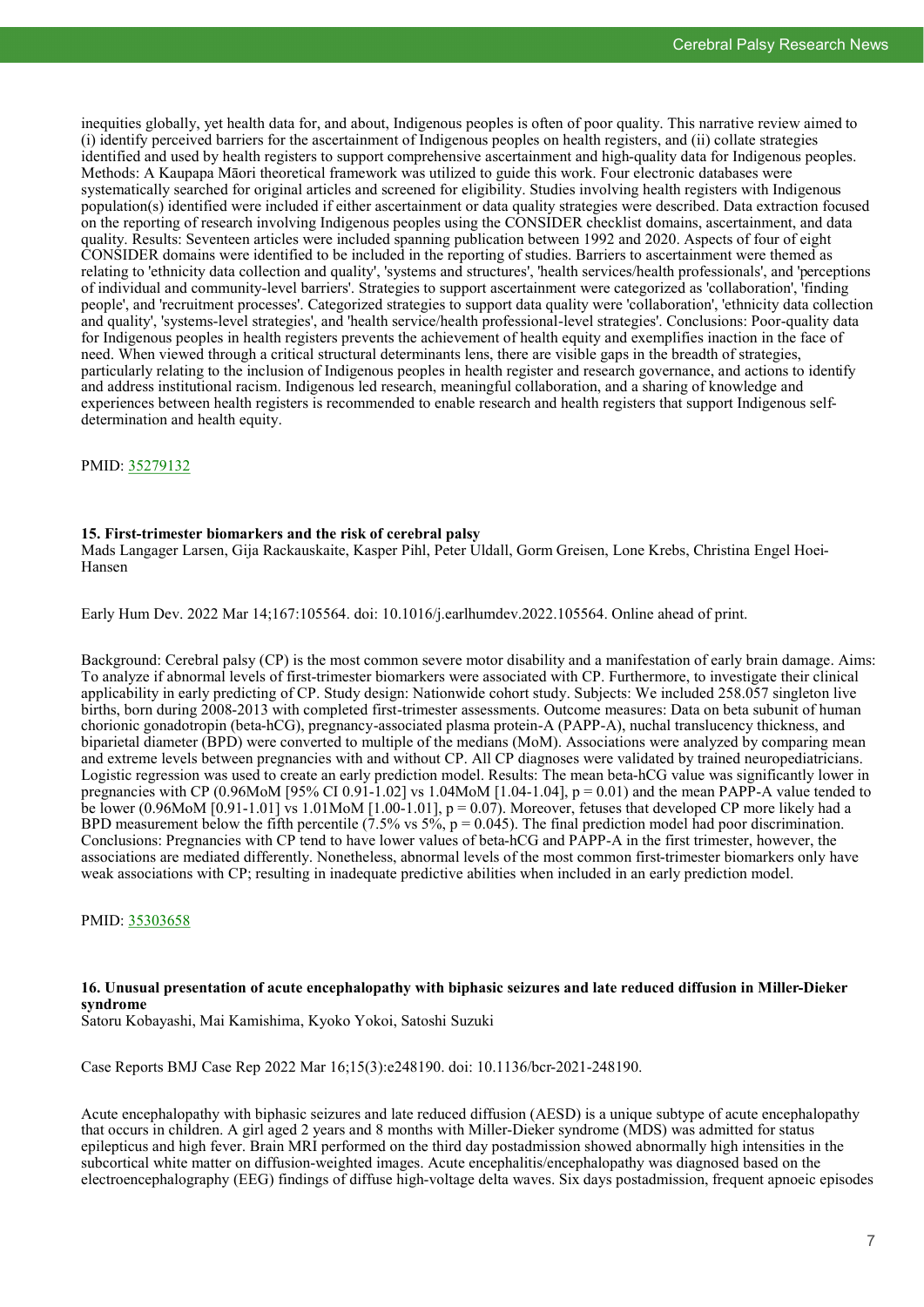inequities globally, yet health data for, and about, Indigenous peoples is often of poor quality. This narrative review aimed to (i) identify perceived barriers for the ascertainment of Indigenous peoples on health registers, and (ii) collate strategies identified and used by health registers to support comprehensive ascertainment and high-quality data for Indigenous peoples. Methods: A Kaupapa Māori theoretical framework was utilized to guide this work. Four electronic databases were systematically searched for original articles and screened for eligibility. Studies involving health registers with Indigenous population(s) identified were included if either ascertainment or data quality strategies were described. Data extraction focused on the reporting of research involving Indigenous peoples using the CONSIDER checklist domains, ascertainment, and data quality. Results: Seventeen articles were included spanning publication between 1992 and 2020. Aspects of four of eight CONSIDER domains were identified to be included in the reporting of studies. Barriers to ascertainment were themed as relating to 'ethnicity data collection and quality', 'systems and structures', 'health services/health professionals', and 'perceptions of individual and community-level barriers'. Strategies to support ascertainment were categorized as 'collaboration', 'finding people', and 'recruitment processes'. Categorized strategies to support data quality were 'collaboration', 'ethnicity data collection and quality', 'systems-level strategies', and 'health service/health professional-level strategies'. Conclusions: Poor-quality data for Indigenous peoples in health registers prevents the achievement of health equity and exemplifies inaction in the face of need. When viewed through a critical structural determinants lens, there are visible gaps in the breadth of strategies, particularly relating to the inclusion of Indigenous peoples in health register and research governance, and actions to identify and address institutional racism. Indigenous led research, meaningful collaboration, and a sharing of knowledge and experiences between health registers is recommended to enable research and health registers that support Indigenous selfdetermination and health equity.

#### PMID: [35279132](https://pubmed.ncbi.nlm.nih.gov/35279132)

#### **15. First-trimester biomarkers and the risk of cerebral palsy**

Mads Langager Larsen, Gija Rackauskaite, Kasper Pihl, Peter Uldall, Gorm Greisen, Lone Krebs, Christina Engel Hoei-Hansen

Early Hum Dev. 2022 Mar 14;167:105564. doi: 10.1016/j.earlhumdev.2022.105564. Online ahead of print.

Background: Cerebral palsy (CP) is the most common severe motor disability and a manifestation of early brain damage. Aims: To analyze if abnormal levels of first-trimester biomarkers were associated with CP. Furthermore, to investigate their clinical applicability in early predicting of CP. Study design: Nationwide cohort study. Subjects: We included 258.057 singleton live births, born during 2008-2013 with completed first-trimester assessments. Outcome measures: Data on beta subunit of human chorionic gonadotropin (beta-hCG), pregnancy-associated plasma protein-A (PAPP-A), nuchal translucency thickness, and biparietal diameter (BPD) were converted to multiple of the medians (MoM). Associations were analyzed by comparing mean and extreme levels between pregnancies with and without CP. All CP diagnoses were validated by trained neuropediatricians. Logistic regression was used to create an early prediction model. Results: The mean beta-hCG value was significantly lower in pregnancies with CP (0.96MoM [95% CI 0.91-1.02] vs 1.04MoM [1.04-1.04],  $p = 0.01$  and the mean PAPP-A value tended to be lower (0.96MoM  $[0.91-1.01]$  vs 1.01MoM  $[1.00-1.01]$ ,  $p = 0.07$ ). Moreover, fetuses that developed CP more likely had a BPD measurement below the fifth percentile (7.5% vs  $5\%$ ,  $p = 0.045$ ). The final prediction model had poor discrimination. Conclusions: Pregnancies with CP tend to have lower values of beta-hCG and PAPP-A in the first trimester, however, the associations are mediated differently. Nonetheless, abnormal levels of the most common first-trimester biomarkers only have weak associations with CP; resulting in inadequate predictive abilities when included in an early prediction model.

#### PMID: [35303658](https://pubmed.ncbi.nlm.nih.gov/35303658)

# **16. Unusual presentation of acute encephalopathy with biphasic seizures and late reduced diffusion in Miller-Dieker syndrome**

Satoru Kobayashi, Mai Kamishima, Kyoko Yokoi, Satoshi Suzuki

Case Reports BMJ Case Rep 2022 Mar 16;15(3):e248190. doi: 10.1136/bcr-2021-248190.

Acute encephalopathy with biphasic seizures and late reduced diffusion (AESD) is a unique subtype of acute encephalopathy that occurs in children. A girl aged 2 years and 8 months with Miller-Dieker syndrome (MDS) was admitted for status epilepticus and high fever. Brain MRI performed on the third day postadmission showed abnormally high intensities in the subcortical white matter on diffusion-weighted images. Acute encephalitis/encephalopathy was diagnosed based on the electroencephalography (EEG) findings of diffuse high-voltage delta waves. Six days postadmission, frequent apnoeic episodes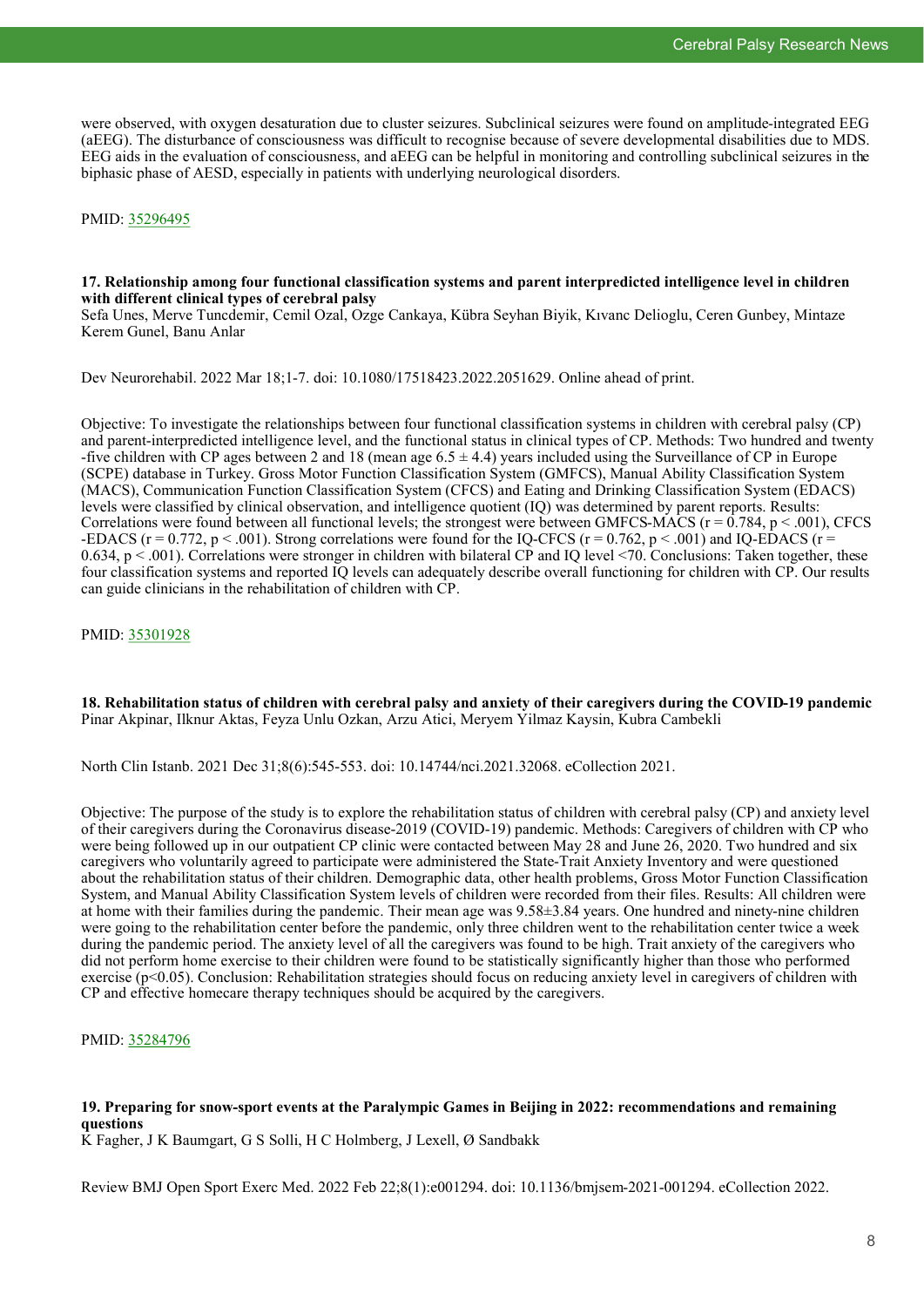were observed, with oxygen desaturation due to cluster seizures. Subclinical seizures were found on amplitude-integrated EEG (aEEG). The disturbance of consciousness was difficult to recognise because of severe developmental disabilities due to MDS. EEG aids in the evaluation of consciousness, and aEEG can be helpful in monitoring and controlling subclinical seizures in the biphasic phase of AESD, especially in patients with underlying neurological disorders.

PMID: [35296495](https://pubmed.ncbi.nlm.nih.gov/35296495)

#### **17. Relationship among four functional classification systems and parent interpredicted intelligence level in children with different clinical types of cerebral palsy**

Sefa Unes, Merve Tuncdemir, Cemil Ozal, Ozge Cankaya, Kübra Seyhan Biyik, Kıvanc Delioglu, Ceren Gunbey, Mintaze Kerem Gunel, Banu Anlar

Dev Neurorehabil. 2022 Mar 18;1-7. doi: 10.1080/17518423.2022.2051629. Online ahead of print.

Objective: To investigate the relationships between four functional classification systems in children with cerebral palsy (CP) and parent-interpredicted intelligence level, and the functional status in clinical types of CP. Methods: Two hundred and twenty -five children with CP ages between 2 and 18 (mean age  $6.5 \pm 4.4$ ) years included using the Surveillance of CP in Europe (SCPE) database in Turkey. Gross Motor Function Classification System (GMFCS), Manual Ability Classification System (MACS), Communication Function Classification System (CFCS) and Eating and Drinking Classification System (EDACS) levels were classified by clinical observation, and intelligence quotient (IQ) was determined by parent reports. Results: Correlations were found between all functional levels; the strongest were between GMFCS-MACS ( $r = 0.784$ ,  $p < .001$ ), CFCS -EDACS ( $r = 0.772$ ,  $p < .001$ ). Strong correlations were found for the IQ-CFCS ( $r = 0.762$ ,  $p < .001$ ) and IQ-EDACS ( $r = 0.762$ ) 0.634, p < .001). Correlations were stronger in children with bilateral CP and IQ level <70. Conclusions: Taken together, these four classification systems and reported IQ levels can adequately describe overall functioning for children with CP. Our results can guide clinicians in the rehabilitation of children with CP.

PMID: [35301928](https://pubmed.ncbi.nlm.nih.gov/35301928)

**18. Rehabilitation status of children with cerebral palsy and anxiety of their caregivers during the COVID-19 pandemic** Pinar Akpinar, Ilknur Aktas, Feyza Unlu Ozkan, Arzu Atici, Meryem Yilmaz Kaysin, Kubra Cambekli

North Clin Istanb. 2021 Dec 31;8(6):545-553. doi: 10.14744/nci.2021.32068. eCollection 2021.

Objective: The purpose of the study is to explore the rehabilitation status of children with cerebral palsy (CP) and anxiety level of their caregivers during the Coronavirus disease-2019 (COVID-19) pandemic. Methods: Caregivers of children with CP who were being followed up in our outpatient CP clinic were contacted between May 28 and June 26, 2020. Two hundred and six caregivers who voluntarily agreed to participate were administered the State-Trait Anxiety Inventory and were questioned about the rehabilitation status of their children. Demographic data, other health problems, Gross Motor Function Classification System, and Manual Ability Classification System levels of children were recorded from their files. Results: All children were at home with their families during the pandemic. Their mean age was 9.58±3.84 years. One hundred and ninety-nine children were going to the rehabilitation center before the pandemic, only three children went to the rehabilitation center twice a week during the pandemic period. The anxiety level of all the caregivers was found to be high. Trait anxiety of the caregivers who did not perform home exercise to their children were found to be statistically significantly higher than those who performed exercise (p<0.05). Conclusion: Rehabilitation strategies should focus on reducing anxiety level in caregivers of children with CP and effective homecare therapy techniques should be acquired by the caregivers.

PMID: [35284796](https://pubmed.ncbi.nlm.nih.gov/35284796)

## **19. Preparing for snow-sport events at the Paralympic Games in Beijing in 2022: recommendations and remaining questions**

K Fagher, J K Baumgart, G S Solli, H C Holmberg, J Lexell, Ø Sandbakk

Review BMJ Open Sport Exerc Med. 2022 Feb 22;8(1):e001294. doi: 10.1136/bmjsem-2021-001294. eCollection 2022.